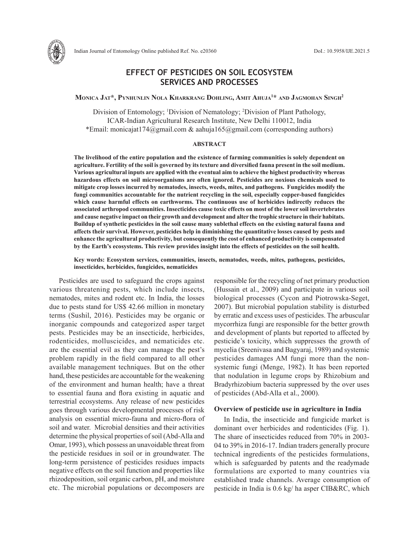

# **EFFECT OF PESTICIDES ON SOIL ECOSYSTEM SERVICES AND PROCESSES**

### **Monica Jat\*, Pynhunlin Nola Kharkrang Dohling, Amit Ahuja1 \* and Jagmohan Singh2**

Division of Entomology; <sup>1</sup>Division of Nematology; <sup>2</sup>Division of Plant Pathology, ICAR-Indian Agricultural Research Institute, New Delhi 110012, India \*Email: monicajat174@gmail.com & aahuja165@gmail.com (corresponding authors)

#### **ABSTRACT**

**The livelihood of the entire population and the existence of farming communities is solely dependent on agriculture. Fertility of the soil is governed by its texture and diversified fauna present in the soil medium. Various agricultural inputs are applied with the eventual aim to achieve the highest productivity whereas hazardous effects on soil microorganisms are often ignored. Pesticides are noxious chemicals used to mitigate crop losses incurred by nematodes, insects, weeds, mites, and pathogens. Fungicides modify the fungi communities accountable for the nutrient recycling in the soil, especially copper-based fungicides which cause harmful effects on earthworms. The continuous use of herbicides indirectly reduces the associated arthropod communities. Insecticides cause toxic effects on most of the lower soil invertebrates and cause negative impact on their growth and development and alter the trophic structure in their habitats. Buildup of synthetic pesticides in the soil cause many sublethal effects on the existing natural fauna and affects their survival. However, pesticides help in diminishing the quantitative losses caused by pests and enhance the agricultural productivity, but consequently the cost of enhanced productivity is compensated by the Earth's ecosystems. This review provides insight into the effects of pesticides on the soil health.**

**Key words: Ecosystem services, communities, insects, nematodes, weeds, mites, pathogens, pesticides, insecticides, herbicides, fungicides, nematicides**

Pesticides are used to safeguard the crops against various threatening pests, which include insects, nematodes, mites and rodent etc. In India, the losses due to pests stand for US\$ 42.66 million in monetary terms (Sushil, 2016). Pesticides may be organic or inorganic compounds and categorized asper target pests. Pesticides may be an insecticide, herbicides, rodenticides, molluscicides, and nematicides etc. are the essential evil as they can manage the pest's problem rapidly in the field compared to all other available management techniques. But on the other hand, these pesticides are accountable for the weakening of the environment and human health; have a threat to essential fauna and flora existing in aquatic and terrestrial ecosystems. Any release of new pesticides goes through various developmental processes of risk analysis on essential micro-fauna and micro-flora of soil and water. Microbial densities and their activities determine the physical properties of soil (Abd-Alla and Omar, 1993), which possess an unavoidable threat from the pesticide residues in soil or in groundwater. The long-term persistence of pesticides residues impacts negative effects on the soil function and properties like rhizodeposition, soil organic carbon, pH, and moisture etc. The microbial populations or decomposers are responsible for the recycling of net primary production (Hussain et al., 2009) and participate in various soil biological processes (Cycon and Piotrowska-Seget, 2007). But microbial population stability is disturbed by erratic and excess uses of pesticides. The arbuscular mycorrhiza fungi are responsible for the better growth and development of plants but reported to affected by pesticide's toxicity, which suppresses the growth of mycelia (Sreenivasa and Bagyaraj, 1989) and systemic pesticides damages AM fungi more than the nonsystemic fungi (Menge, 1982). It has been reported that nodulation in legume crops by Rhizobium and Bradyrhizobium bacteria suppressed by the over uses of pesticides (Abd-Alla et al., 2000).

### **Overview of pesticide use in agriculture in India**

In India, the insecticide and fungicide market is dominant over herbicides and rodenticides (Fig. 1). The share of insecticides reduced from 70% in 2003- 04 to 39% in 2016-17. Indian traders generally procure technical ingredients of the pesticides formulations, which is safeguarded by patents and the readymade formulations are exported to many countries via established trade channels. Average consumption of pesticide in India is 0.6 kg/ ha asper CIB&RC, which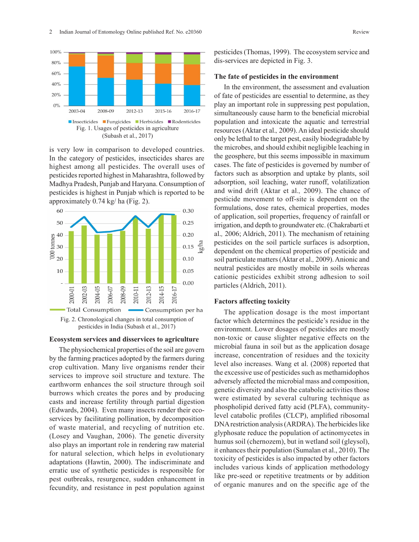

is very low in comparison to developed countries. In the category of pesticides, insecticides shares are highest among all pesticides. The overall uses of pesticides reported highest in Maharashtra, followed by Madhya Pradesh, Punjab and Haryana. Consumption of pesticides is highest in Punjab which is reported to be approximately 0.74 kg/ ha (Fig. 2).



#### **Ecosystem services and disservices to agriculture**

The physiochemical properties of the soil are govern by the farming practices adopted by the farmers during crop cultivation. Many live organisms render their services to improve soil structure and texture. The earthworm enhances the soil structure through soil burrows which creates the pores and by producing casts and increase fertility through partial digestion (Edwards, 2004). Even many insects render their ecoservices by facilitating pollination, by decomposition of waste material, and recycling of nutrition etc. (Losey and Vaughan, 2006). The genetic diversity also plays an important role in rendering raw material for natural selection, which helps in evolutionary adaptations (Hawtin, 2000). The indiscriminate and erratic use of synthetic pesticides is responsible for pest outbreaks, resurgence, sudden enhancement in fecundity, and resistance in pest population against pesticides (Thomas, 1999). The ecosystem service and dis-services are depicted in Fig. 3.

#### **The fate of pesticides in the environment**

In the environment, the assessment and evaluation of fate of pesticides are essential to determine, as they play an important role in suppressing pest population, simultaneously cause harm to the beneficial microbial population and intoxicate the aquatic and terrestrial resources (Aktar et al.*,* 2009).An ideal pesticide should only be lethal to the target pest, easily biodegradable by the microbes, and should exhibit negligible leaching in the geosphere, but this seems impossible in maximum cases. The fate of pesticides is governed by number of factors such as absorption and uptake by plants, soil adsorption, soil leaching, water runoff, volatilization and wind drift (Aktar et al.*,* 2009). The chance of pesticide movement to off-site is dependent on the formulations, dose rates, chemical properties, modes of application, soil properties, frequency of rainfall or irrigation, and depth to groundwater etc. (Chakrabarti et al.*,* 2006; Aldrich, 2011). The mechanism of retaining pesticides on the soil particle surfaces is adsorption, dependent on the chemical properties of pesticide and soil particulate matters (Aktar et al.*,* 2009). Anionic and neutral pesticides are mostly mobile in soils whereas cationic pesticides exhibit strong adhesion to soil particles (Aldrich, 2011).

#### **Factors affecting toxicity**

The application dosage is the most important factor which determines the pesticide's residue in the environment. Lower dosages of pesticides are mostly non-toxic or cause slighter negative effects on the microbial fauna in soil but as the application dosage increase, concentration of residues and the toxicity level also increases. Wang et al. (2008) reported that the excessive use of pesticides such as methamidophos adversely affected the microbial mass and composition, genetic diversity and also the catabolic activities those were estimated by several culturing technique as phospholipid derived fatty acid (PLFA), communitylevel catabolic profiles (CLCP), amplified ribosomal DNA restriction analysis (ARDRA). The herbicides like glyphosate reduce the population of actinomycetes in humus soil (chernozem), but in wetland soil (gleysol), it enhances their population (Sumalan et al., 2010). The toxicity of pesticides is also impacted by other factors includes various kinds of application methodology like pre-seed or repetitive treatments or by addition of organic manures and on the specific age of the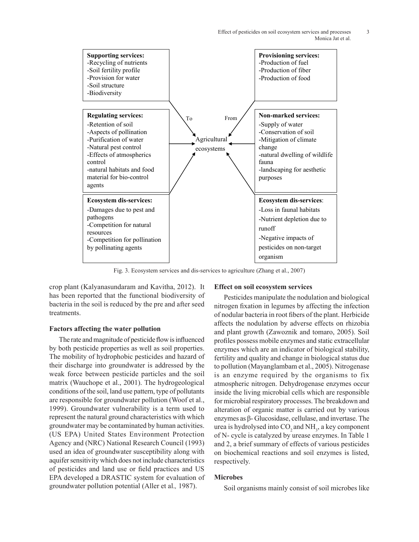

Fig. 3. Ecosystem services and dis-services to agriculture (Zhang et al., 2007)

crop plant (Kalyanasundaram and Kavitha, 2012). It has been reported that the functional biodiversity of bacteria in the soil is reduced by the pre and after seed treatments.

### **Factors affecting the water pollution**

The rate and magnitude of pesticide flow is influenced by both pesticide properties as well as soil properties. The mobility of hydrophobic pesticides and hazard of their discharge into groundwater is addressed by the weak force between pesticide particles and the soil matrix (Wauchope et al., 2001). The hydrogeological conditions of the soil, land use pattern, type of pollutants are responsible for groundwater pollution (Woof et al., 1999). Groundwater vulnerability is a term used to represent the natural ground characteristics with which groundwater may be contaminated by human activities. (US EPA) United States Environment Protection Agency and (NRC) National Research Council (1993) used an idea of groundwater susceptibility along with aquifer sensitivity which does not include characteristics of pesticides and land use or field practices and US EPA developed a DRASTIC system for evaluation of groundwater pollution potential (Aller et al.*,* 1987).

### **Effect on soil ecosystem services**

Pesticides manipulate the nodulation and biological nitrogen fixation in legumes by affecting the infection of nodular bacteria in root fibers of the plant. Herbicide affects the nodulation by adverse effects on rhizobia and plant growth (Zawoznik and tomaro, 2005). Soil profiles possess mobile enzymes and static extracellular enzymes which are an indicator of biological stability, fertility and quality and change in biological status due to pollution (Mayanglambam et al., 2005). Nitrogenase is an enzyme required by the organisms to fix atmospheric nitrogen. Dehydrogenase enzymes occur inside the living microbial cells which are responsible for microbial respiratory processes. The breakdown and alteration of organic matter is carried out by various enzymes as β- Glucosidase, cellulase, and invertase. The urea is hydrolysed into  $CO_2$  and  $NH_3$ , a key component of N- cycle is catalyzed by urease enzymes. In Table 1 and 2, a brief summary of effects of various pesticides on biochemical reactions and soil enzymes is listed, respectively.

# **Microbes**

Soil organisms mainly consist of soil microbes like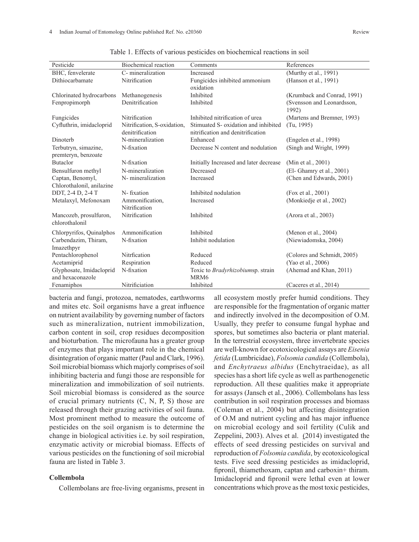| Pesticide                 | Biochemical reaction        | Comments                                  | References                          |
|---------------------------|-----------------------------|-------------------------------------------|-------------------------------------|
| BHC, fenvelerate          | C-mineralization            | Increased                                 | (Murthy et al., 1991)               |
| Dithiocarbamate           | Nitrification               | Fungicides inhibited ammonium             | (Hanson et al., 1991)               |
|                           |                             | oxidation                                 |                                     |
| Chlorinated hydrocarbons  | Methanogenesis              | Inhibited                                 | (Krumback and Conrad, 1991)         |
| Fenpropimorph             | Denitrification             | Inhibited                                 | (Svensson and Leonardsson,<br>1992) |
| Fungicides                | Nitrification               | Inhibited nitrification of urea           | (Martens and Bremner, 1993)         |
| Cyfluthrin, imidacloprid  | Nitrification, S-oxidation, | Stimuated S- oxidation and inhibited      | (Tu, 1995)                          |
|                           | denitrification             | nitrification and denitrification         |                                     |
| Dinoterb                  | N-mineralization            | Enhanced                                  | (Engelen et al., 1998)              |
| Terbutryn, simazine,      | N-fixation                  | Decrease N content and nodulation         | (Singh and Wright, 1999)            |
| premteryn, benzoate       |                             |                                           |                                     |
| <b>Butaclor</b>           | N-fixation                  | Initially Increased and later decrease    | (Min et al., 2001)                  |
| Bensulfuron methyl        | N-mineralization            | Decreased                                 | (El- Ghamry et al., 2001)           |
| Captan, Benomyl,          | N- mineralization           | Increased                                 | (Chen and Edwards, 2001)            |
| Chlorothalonil, anilazine |                             |                                           |                                     |
| DDT, 2-4 D, 2-4 T         | N-fixation                  | Inhibited nodulation                      | (Fox et al., 2001)                  |
| Metalaxyl, Mefonoxam      | Ammonification,             | Increased                                 | (Monkiedje et al., 2002)            |
|                           | Nitrification               |                                           |                                     |
| Mancozeb, prosulfuron,    | Nitrification               | Inhibited                                 | (Arora et al., 2003)                |
| chlorothalonil            |                             |                                           |                                     |
| Chlorpyrifos, Quinalphos  | Ammonification              | Inhibited                                 | (Menon et al., 2004)                |
| Carbendazim, Thiram,      | N-fixation                  | Inhibit nodulation                        | (Niewiadomska, 2004)                |
| Imazethpyr                |                             |                                           |                                     |
| Pentachlorophenol         | Nitrfication                | Reduced                                   | (Colores and Schmidt, 2005)         |
| Acetamiprid               | Respiration                 | Reduced                                   | (Yao et al., 2006)                  |
| Glyphosate, Imidacloprid  | N-fixation                  | Toxic to <i>Bradyrhizobiumsp</i> . strain | (Ahemad and Khan, 2011)             |
| and hexaconazole          |                             | MRM <sub>6</sub>                          |                                     |
| Fenamiphos                | Nitrificiation              | Inhibited                                 | (Caceres et al., 2014)              |

Table 1. Effects of various pesticides on biochemical reactions in soil

bacteria and fungi, protozoa, nematodes, earthworms and mites etc. Soil organisms have a great influence on nutrient availability by governing number of factors such as mineralization, nutrient immobilization, carbon content in soil, crop residues decomposition and bioturbation. The microfauna has a greater group of enzymes that plays important role in the chemical disintegration of organic matter (Paul and Clark, 1996). Soil microbial biomass which majorly comprises of soil inhibiting bacteria and fungi those are responsible for mineralization and immobilization of soil nutrients. Soil microbial biomass is considered as the source of crucial primary nutrients  $(C, N, P, S)$  those are released through their grazing activities of soil fauna. Most prominent method to measure the outcome of pesticides on the soil organism is to determine the change in biological activities i.e. by soil respiration, enzymatic activity or microbial biomass. Effects of various pesticides on the functioning of soil microbial fauna are listed in Table 3.

# **Collembola**

Collembolans are free-living organisms, present in

all ecosystem mostly prefer humid conditions. They are responsible for the fragmentation of organic matter and indirectly involved in the decomposition of O.M. Usually, they prefer to consume fungal hyphae and spores, but sometimes also bacteria or plant material. In the terrestrial ecosystem, three invertebrate species are well-known for ecotoxicological assays are *Eisenia fetida* (Lumbricidae), *Folsomia candida* (Collembola), and *Enchytraeus albidus* (Enchytraeidae), as all species has a short life cycle as well as parthenogenetic reproduction. All these qualities make it appropriate for assays (Jansch et al., 2006). Collembolans has less contribution in soil respiration processes and biomass (Coleman et al., 2004) but affecting disintegration of O.M and nutrient cycling and has major influence on microbial ecology and soil fertility (Culik and Zeppelini, 2003). Alves et al. (2014) investigated the effects of seed dressing pesticides on survival and reproduction of *Folsomia candida*, by ecotoxicological tests. Five seed dressing pesticides as imidacloprid, fipronil, thiamethoxam, captan and carboxin+ thiram. Imidacloprid and fipronil were lethal even at lower concentrations which prove as the most toxic pesticides,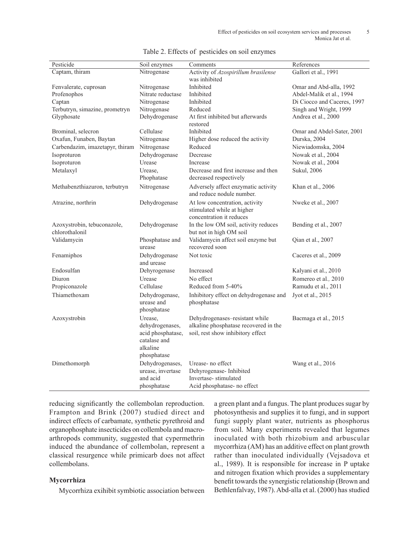| Pesticide                                     | Soil enzymes                                                                               | Comments                                                                                                     | References                  |
|-----------------------------------------------|--------------------------------------------------------------------------------------------|--------------------------------------------------------------------------------------------------------------|-----------------------------|
| Captam, thiram                                | Nitrogenase                                                                                | Activity of Azospirillum brasilense                                                                          | Gallori et al., 1991        |
|                                               |                                                                                            | was inhibited                                                                                                |                             |
| Fenvalerate, cuprosan                         | Nitrogenase                                                                                | Inhibited                                                                                                    | Omar and Abd-alla, 1992     |
| Profenophos                                   | Nitrate reductase                                                                          | Inhibited                                                                                                    | Abdel-Malik et al., 1994    |
| Captan                                        | Nitrogenase                                                                                | Inhibited                                                                                                    | Di Ciocco and Caceres, 1997 |
| Terbutryn, simazine, prometryn                | Nitrogenase                                                                                | Reduced                                                                                                      | Singh and Wright, 1999      |
| Glyphosate                                    | Dehydrogenase                                                                              | At first inhibited but afterwards<br>restored                                                                | Andrea et al., 2000         |
| Brominal, selecron                            | Cellulase                                                                                  | Inhibited                                                                                                    | Omar and Abdel-Sater, 2001  |
| Oxafun, Funaben, Baytan                       | Nitrogenase                                                                                | Higher dose reduced the activity                                                                             | Durska, 2004                |
| Carbendazim, imazetapyr, thiram               | Nitrogenase                                                                                | Reduced                                                                                                      | Niewiadomska, 2004          |
| Isoproturon                                   | Dehydrogenase                                                                              | Decrease                                                                                                     | Nowak et al., 2004          |
| Isoproturon                                   | Urease                                                                                     | Increase                                                                                                     | Nowak et al., 2004          |
| Metalaxyl                                     | Urease,<br>Phophatase                                                                      | Decrease and first increase and then<br>decreased respectively                                               | Sukul, 2006                 |
| Methabenzthiazuron, terbutryn                 | Nitrogenase                                                                                | Adversely affect enzymatic activity<br>and reduce nodule number.                                             | Khan et al., 2006           |
| Atrazine, northrin                            | Dehydrogenase                                                                              | At low concentration, activity<br>stimulated while at higher<br>concentration it reduces                     | Nweke et al., 2007          |
| Azoxystrobin, tebuconazole,<br>chlorothalonil | Dehydrogenase                                                                              | In the low OM soil, activity reduces<br>but not in high OM soil                                              | Bending et al., 2007        |
| Validamycin                                   | Phosphatase and<br>urease                                                                  | Validamycin affect soil enzyme but<br>recovered soon                                                         | Qian et al., 2007           |
| Fenamiphos                                    | Dehydrogenase<br>and urease                                                                | Not toxic                                                                                                    | Caceres et al., 2009        |
| Endosulfan                                    | Dehyrogenase                                                                               | Increased                                                                                                    | Kalyani et al., 2010        |
| Diuron                                        | Urease                                                                                     | No effect                                                                                                    | Romereo et al., 2010        |
| Propiconazole                                 | Cellulase                                                                                  | Reduced from 5-40%                                                                                           | Ramudu et al., 2011         |
| Thiamethoxam                                  | Dehydrogenase,<br>urease and<br>phosphatase                                                | Inhibitory effect on dehydrogenase and<br>phosphatase                                                        | Jyot et al., 2015           |
| Azoxystrobin                                  | Urease.<br>dehydrogenases,<br>acid phosphatase,<br>catalase and<br>alkaline<br>phosphatase | Dehydrogenases-resistant while<br>alkaline phosphatase recovered in the<br>soil, rest show inhibitory effect | Bacmaga et al., 2015        |
| Dimethomorph                                  | Dehydrogenases,<br>urease, invertase<br>and acid<br>phosphatase                            | Urease-no effect<br>Dehyrogenase-Inhibited<br>Invertase-stimulated<br>Acid phosphatase- no effect            | Wang et al., 2016           |

|  | Table 2. Effects of pesticides on soil enzymes |  |
|--|------------------------------------------------|--|
|  |                                                |  |

reducing significantly the collembolan reproduction. Frampton and Brink (2007) studied direct and indirect effects of carbamate, synthetic pyrethroid and organophosphate insecticides on collembola and macroarthropods community, suggested that cypermethrin induced the abundance of collembolan, represent a classical resurgence while primicarb does not affect collembolans.

# **Mycorrhiza**

Mycorrhiza exihibit symbiotic association between

a green plant and a fungus. The plant produces sugar by photosynthesis and supplies it to fungi, and in support fungi supply plant water, nutrients as phosphorus from soil. Many experiments revealed that legumes inoculated with both rhizobium and arbuscular mycorrhiza (AM) has an additive effect on plant growth rather than inoculated individually (Vejsadova et al., 1989). It is responsible for increase in P uptake and nitrogen fixation which provides a supplementary benefit towards the synergistic relationship (Brown and Bethlenfalvay, 1987). Abd-alla et al. (2000) has studied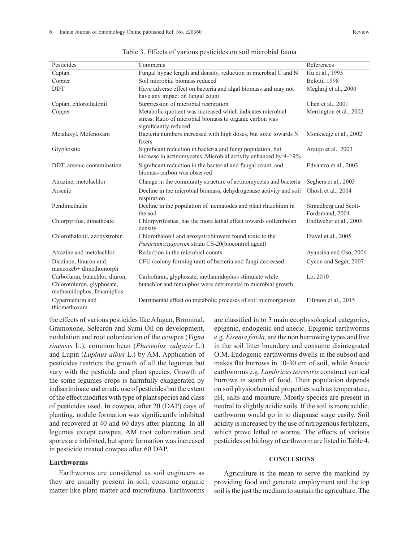| Pesticides                                                                                | Comments                                                                                                                                        | References                               |
|-------------------------------------------------------------------------------------------|-------------------------------------------------------------------------------------------------------------------------------------------------|------------------------------------------|
| Captan                                                                                    | Fungal hypae length and density, reduction in microbial C and N                                                                                 | Hu et al., 1995                          |
| Copper                                                                                    | Soil microbial biomass reduced                                                                                                                  | Belotti, 1998                            |
| <b>DDT</b>                                                                                | Have adverse effect on bacteria and algal biomass and may not<br>have any impact on fungal count                                                | Meghraj et al., 2000                     |
| Captan, chlorothalonil                                                                    | Suppression of microbial respiration                                                                                                            | Chen et al., 2001                        |
| Copper                                                                                    | Metabolic quotient was increased which indicates microbial<br>stress. Ratio of microbial biomass to organic carbon was<br>significantly reduced | Merrington et al., 2002                  |
| Metalaxyl, Mefenoxam                                                                      | Bacteria numbers increased with high doses, but toxic towards N<br>fixers                                                                       | Monkiedje et al., 2002                   |
| Glyphosate                                                                                | Significant reduction in bacteria and fungi population, but<br>increase in actinomycetes. Microbial activity enhanced by 9–19%                  | Araujo et al., 2003                      |
| DDT, arsenic contamination                                                                | Significant reduction in the bacterial and fungal count, and<br>biomass carbon was observed                                                     | Edvantro et al., 2003                    |
| Atrazine, metolachlor                                                                     | Change in the community structure of actinomycetes and bacteria                                                                                 | Seghers et al., 2003                     |
| Arsenic                                                                                   | Decline in the microbial biomass, dehydrogenase activity and soil<br>respiration                                                                | Ghosh et al., 2004                       |
| Pendimethalin                                                                             | Decline in the population of nematodes and plant rhizobium in<br>the soil                                                                       | Strandberg and Scott-<br>Fordsmand, 2004 |
| Chlorpyrifos, dimethoate                                                                  | Chlorpyrifoshas, has the more lethal effect towards collembolan<br>density                                                                      | Endlweber et al., 2005                   |
| Chlorothalonil, azoxystrobin                                                              | Chlorothalonil and azoxystrobinwere found toxic to the<br>Fusariumoxysporum strain CS-20(biocontrol agent)                                      | Fravel et al., 2005                      |
| Atrazine and metolachlor                                                                  | Reduction in the microbial counts                                                                                                               | Ayansina and Oso, 2006                   |
| Diazinon, linuron and<br>mancozeb+ dimethomorph                                           | CFU (colony forming unit) of bacteria and fungi decreased                                                                                       | Cycon and Seget, 2007                    |
| Carbofuran, butachlor, diuron,<br>Chlorotoluron, glyphosate,<br>methamidophos, fenamiphos | Carbofuran, glyphosate, methamidophos stimulate while<br>butachlor and femaiphos were detrimental to microbial growth                           | Lo, 2010                                 |

Detrimental effect on metabolic proceses of soil microorganism Filimon et al., 2015

Table 3. Effects of various pesticides on soil microbial fauna

the effects of various pesticides like Afugan, Brominal, Gramoxone, Selecron and Sumi Oil on development, nodulation and root colonization of the cowpea (*Vigna sinensis* L.), common bean (*Phaseolus vulgaris* L.) and Lupin (*Lupinus albus* L.) by AM. Application of pesticides restricts the growth of all the legumes but vary with the pesticide and plant species. Growth of the some legumes crops is harmfully exaggerated by indiscriminate and erratic use of pesticides but the extent of the effect modifies with type of plant species and class of pesticides used. In cowpea, after 20 (DAP) days of planting, nodule formation was significantly inhibited and recovered at 40 and 60 days after planting. In all legumes except cowpea, AM root colonization and spores are inhibited, but spore formation was increased in pesticide treated cowpea after 60 DAP.

# **Earthworms**

Cypermethrin and thiomethoxam

Earthworms are considered as soil engineers as they are usually present in soil, consume organic matter like plant matter and microfauna. Earthworms are classified in to 3 main ecophysological categories, epigenic, endogenic end anecic. Epigenic earthworms e.g. *Eisenia fetida,* are the non burrowing types and live in the soil litter boundary and consume disintegrated O.M. Endogenic earthworms dwells in the subsoil and makes flat burrows in 10-30 cm of soil, while Anecic earthworms e.g. *Lumbricus terrestris* construct vertical burrows in search of food. Their population depends on soil physiochemical properties such as temperature, pH, salts and moisture. Mostly species are present in neutral to slightly acidic soils. If the soil is more acidic, earthworm would go in to diapause stage easily. Soil acidity is increased by the use of nitrogenous fertilizers, which prove lethal to worms. The effects of various pesticides on biology of earthworm are listed in Table 4.

#### **CONCLUSIONS**

Agriculture is the mean to serve the mankind by providing food and generate employment and the top soil is the just the medium to sustain the agriculture. The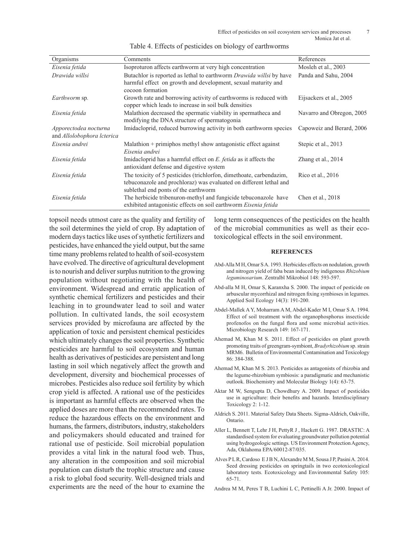| Organisms                                           | Comments                                                                                                                                                                          | References                |
|-----------------------------------------------------|-----------------------------------------------------------------------------------------------------------------------------------------------------------------------------------|---------------------------|
| Eisenia fetida                                      | Isoproturon affects earthworm at very high concentration                                                                                                                          | Mosleh et al., 2003       |
| Drawida willsi                                      | Butachlor is reported as lethal to earthworm <i>Drawida willsi</i> by have<br>harmful effect on growth and development, sexual maturity and<br>cocoon formation                   | Panda and Sahu, 2004      |
| <i>Earthworm</i> sp.                                | Growth rate and borrowing activity of earthworms is reduced with<br>copper which leads to increase in soil bulk densities                                                         | Eijsackers et al., 2005   |
| Eisenia fetida                                      | Malathion decreased the spermatic viability in spermatheca and<br>modifying the DNA structure of spermatogonia                                                                    | Navarro and Obregon, 2005 |
| Apporectodea nocturna<br>and Allolobophora lcterica | Imidacloprid, reduced burrowing activity in both earthworm species                                                                                                                | Capoweiz and Berard, 2006 |
| Eisenia andrei                                      | Malathion + primiphos methyl show antagonistic effect against<br>Eisenia andrei                                                                                                   | Stepic et al., 2013       |
| Eisenia fetida                                      | Imidacloprid has a harmful effect on E. fetida as it affects the<br>antioxidant defense and digestive system                                                                      | Zhang et al., 2014        |
| Eisenia fetida                                      | The toxicity of 5 pesticides (trichlorfon, dimethoate, carbendazim,<br>tebuconazole and prochloraz) was evaluated on different lethal and<br>sublethal end ponts of the earthworm | Rico et al., 2016         |
| Eisenia fetida                                      | The herbicide tribenuron-methyl and fungicide tebuconazole have<br>exhibited antagonistic effects on soil earthworm Eisenia fetida                                                | Chen et al., 2018         |

topsoil needs utmost care as the quality and fertility of the soil determines the yield of crop. By adaptation of modern days tactics like uses of synthetic fertilizers and pesticides, have enhanced the yield output, but the same time many problems related to health of soil-ecosystem have evolved. The directive of agricultural development is to nourish and deliver surplus nutrition to the growing population without negotiating with the health of environment. Widespread and erratic application of synthetic chemical fertilizers and pesticides and their leaching in to groundwater lead to soil and water pollution. In cultivated lands, the soil ecosystem services provided by microfauna are affected by the application of toxic and persistent chemical pesticides which ultimately changes the soil properties. Synthetic pesticides are harmful to soil ecosystem and human health as derivatives of pesticides are persistent and long lasting in soil which negatively affect the growth and development, diversity and biochemical processes of microbes. Pesticides also reduce soil fertility by which crop yield is affected. A rational use of the pesticides is important as harmful effects are observed when the applied doses are more than the recommended rates. To reduce the hazardous effects on the environment and humans, the farmers, distributors, industry, stakeholders and policymakers should educated and trained for rational use of pesticide. Soil microbial population provides a vital link in the natural food web. Thus, any alteration in the composition and soil microbial population can disturb the trophic structure and cause a risk to global food security. Well-designed trials and experiments are the need of the hour to examine the

long term consequences of the pesticides on the health of the microbial communities as well as their ecotoxicological effects in the soil environment.

### **REFERENCES**

- Abd-Alla M H, Omar S A. 1993. Herbicides effects on nodulation, growth and nitrogen yield of faba bean induced by indigenous *Rhizobium leguminosarium*. Zentralbl Mikrobiol 148: 593-597.
- Abd-alla M H, Omar S, Karanxha S. 2000. The impact of pesticide on arbuscular mycorrhizal and nitrogen fixing symbioses in legumes. Applied Soil Ecology 14(3): 191-200.
- Abdel-Mallek A Y, Moharram A M, Abdel-Kader M I, Omar S A. 1994. Effect of soil treatment with the organophosphorus insecticide profenofos on the fungal flora and some microbial activities. Microbiology Research 149: 167-171.
- Ahemad M, Khan M S. 2011. Effect of pesticides on plant growth promoting traits of greengram-symbiont, *Bradyrhizobium* sp. strain MRM6. Bulletin of Environmental Contamination and Toxicology 86: 384-388.
- Ahemad M, Khan M S. 2013. Pesticides as antagonists of rhizobia and the legume-rhizobium symbiosis: a paradigmatic and mechanistic outlook. Biochemistry and Molecular Biology 1(4): 63-75.
- Aktar M W, Sengupta D, Chowdhury A. 2009. Impact of pesticides use in agriculture: their benefits and hazards. Interdisciplinary Toxicology 2: 1-12.
- Aldrich S. 2011. Material Safety Data Sheets. Sigma-Aldrich, Oakville, Ontario.
- Aller L, Bennett T, Lehr J H, PettyR J , Hackett G. 1987. DRASTIC: A standardised system for evaluating groundwater pollution potential using hydrogeologic settings*.* US Environment Protection Agency, Ada, Oklahoma EPA/60012-87/035.
- Alves P L R, Cardoso E J B N, Alexandre M M, Sousa J P, Pasini A. 2014. Seed dressing pesticides on springtails in two ecotoxicological laboratory tests. Ecotoxicology and Environmental Safety 105: 65-71.
- Andrea M M, Peres T B, Luchini L C, Pettinelli A Jr. 2000. Impact of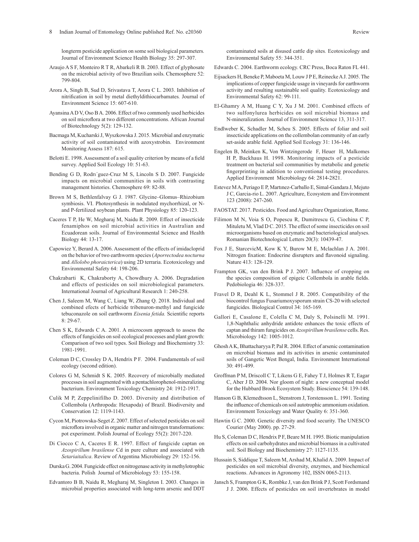longterm pesticide application on some soil biological parameters*.*  Journal of Environment Science Health Biology 35: 297-307.

- Araujo A S F, Monteiro R T R, Abarkeli R B. 2003. Effect of glyphosate on the microbial activity of two Brazilian soils. Chemosphere 52: 799-804.
- Arora A, Singh B, Sud D, Srivastava T, Arora C L. 2003. Inhibition of nitrification in soil by metal diethyldithiocarbamates*.* Journal of Environment Science 15: 607-610.
- Ayansina A D V, Oso B A. 2006. Effect of two commonly used herbicides on soil microflora at two different concentrations. African Journal of Biotechnology 5(2): 129-132.
- Bacmaga M, Kucharski J, Wyszkowska J. 2015. Microbial and enzymatic activity of soil contaminated with azoxystrobin. Environment Monitoring Assess 187: 615.
- Belotti E. 1998. Assessment of a soil quality criterion by means of a field survey. Applied Soil Ecology 10: 51-63.
- Bending G D, Rodrı´guez-Cruz M S, Lincoln S D. 2007. Fungicide impacts on microbial communities in soils with contrasting management histories. Chemosphere 69: 82-88.
- Brown M S, Bethlenfalvay G J. 1987. Glycine–Glomus–Rhizobium symbiosis. VI. Photosynthesis in nodulated mychorrhizal, or Nand P-fertilized soybean plants. Plant Physiology 85: 120-123.
- Caceres T P, He W, Megharaj M, Naidu R. 2009. Effect of insecticide fenamiphos on soil microbial activities in Australian and Ecuadorean soils. Journal of Environmental Science and Health Biology 44: 13-17.
- Capowiez Y, Berard A. 2006. Assessment of the effects of imidacloprid on the behavior of two earthworm species (*Aporrectodea nocturna* and *Allolobo phoraicterica*) using 2D terraria. Ecotoxicology and Environmental Safety 64: 198-206.
- Chakrabarti K, Chakraborty A, Chowdhury A. 2006. Degradation and effects of pesticides on soil microbiological parameters. International Journal of Agricultural Research 1: 240-258.
- Chen J, Saleem M, Wang C, Liang W, Zhang Q. 2018. Individual and combined efects of herbicide tribenuron-methyl and fungicide tebuconazole on soil earthworm *Eisenia fetida.* Scientific reports 8: 29-67.
- Chen S K, Edwards C A. 2001. A microcosm approach to assess the effects of fungicides on soil ecological processes and plant growth: Comparison of two soil types. Soil Biology and Biochemistry 33: 1981-1991.
- Coleman D C, Crossley D A, Hendrix P F. 2004. Fundamentals of soil ecology (second edition).
- Colores G M, Schmidt S K. 2005. Recovery of microbially mediated processes in soil augmented with a pentachlorophenol-mineralizing bacterium. Environment Toxicology Chemistry 24: 1912-1917.
- Culik M P, Zeppelinifilho D. 2003. Diversity and distribution of Collembola (Arthropoda: Hexapoda) of Brazil. Biodiversity and Conservation 12: 1119-1143.
- Cycon M, Piotrowska-Seget Z. 2007. Effect of selected pesticides on soil microflora involved in organic matter and nitrogen transformations: pot experiment. Polish Journal of Ecology 55(2): 2017-220.
- Di Ciocco C A, Caceres E R. 1997. Effect of fungicide captan on *Azospirillum brasilense* Cd in pure culture and associated with *Setariaitalica*. Review of Argentina Microbiology 29: 152-156.
- Durska G. 2004. Fungicide effect on nitrogenase activity in methylotrophic bacteria. Polish Journal of Microbiology 53: 155-158.
- Edvantoro B B, Naidu R, Megharaj M, Singleton I. 2003. Changes in microbial properties associated with long-term arsenic and DDT

contaminated soils at disused cattle dip sites*.* Ecotoxicology and Environmental Safety 55: 344-351.

- Edwards C. 2004. Earthworm ecology. CRC Press, Boca Raton FL 441.
- Eijsackers H, Beneke P, Maboeta M, Louw J P E, Reinecke A J. 2005. The implications of copper fungicide usage in vineyards for earthworm activity and resulting sustainable soil quality. Ecotoxicology and Environmental Safety 62: 99-111.
- El-Ghamry A M, Huang C Y, Xu J M. 2001. Combined effects of two sulfonylurea herbicides on soil microbial biomass and N-mineralization*.* Journal of Environment Science 13, 311-317.
- Endlweber K, Schadler M, Scheu S. 2005. Effects of foliar and soil insecticide applications on the collembolan community of an early set-aside arable field. Applied Soil Ecology 31: 136-146.
- Engelen B, Meinken K, Von Wintzingerode F, Heuer H, Malkomes H P, Backhaus H. 1998. Monitoring impacts of a pesticide treatment on bacterial soil communities by metabolic and genetic fingerprinting in addition to conventional testing procedures. Applied Environment Microbiology 64: 2814-2821.
- Estevez M A, Periago E P, Martınez-Carballo E, Simal-Gandara J, Mejuto J C, Garcia-rio L. 2007. Agriculture, Ecosystem and Environment 123 (2008): 247-260.
- FAOSTAT. 2017. Pesticides. Food and Agriculture Organization, Rome.
- Filimon M N, Voia S O, Popescu R, Dumitrescu G, Ciochina C P, Mituletu M, Vlad D C. 2015. The effect of some insecticides on soil microorganisms based on enzymatic and bacteriological analyses. Romanian Biotechnological Letters 20(3): 10439-47.
- Fox J E, StarcevicM, Kow K Y, Burow M E, Mclachlan J A. 2001. Nitrogen fixation: Endocrine disrupters and flavonoid signaling. Nature 413: 128-129.
- Frampton GK, van den Brink P J. 2007. Influence of cropping on the species composition of epigeic Collembola in arable fields. Pedobiologia 46: 328-337.
- Fravel D R, Deahl K L, Stommel J R. 2005. Compatibility of the biocontrol fungus Fusariumoxysporum strain CS-20 with selected fungicides. Biological Control 34: 165-169.
- Gallori E, Casalone E, Colella C M, Daly S, Polsinelli M. 1991. 1,8-Naphthalic anhydride antidote enhances the toxic effects of captan and thiram fungicides on *Azospirillum brasilense* cells. Res. Microbiology 142: 1005-1012.
- Ghosh A K, Bhattacharyya P, Pal R. 2004. Effect of arsenic contamination on microbial biomass and its activities in arsenic contaminated soils of Gangetic West Bengal, India. Environment International 30: 491-499.
- Groffman P M, Driscoll C T, Likens G E, Fahey T J, Holmes R T, Eagar C, Aber J D. 2004. Nor gloom of night: a new conceptual model for the Hubbard Brook Ecosystem Study. Bioscience 54: 139-148.
- Hanson G B, Klemedtsson L, Stenstrom J, Torstensson L. 1991. Testing the influence of chemicals on soil autotrophic ammonium oxidation. Environment Toxicology and Water Quality 6: 351-360.
- Hawtin G C. 2000. Genetic diversity and food security. The UNESCO Courier (May 2000). pp. 27-29.
- Hu S, Coleman D C, Hendrix P F, Beare M H. 1995. Biotic manipulation effects on soil carbohydrates and microbial biomass in a cultivated soil. Soil Biology and Biochemistry 27: 1127-1135.
- Hussain S, Siddique T, Saleem M, Arshad M, Khalid A. 2009. Impact of pesticides on soil microbial diversity, enzymes, and biochemical reactions. Advances in Agronomy 102, ISSN 0065-2113.
- Jansch S, Frampton G K, Rombke J, van den Brink P J, Scott Fordsmand J J. 2006. Effects of pesticides on soil invertebrates in model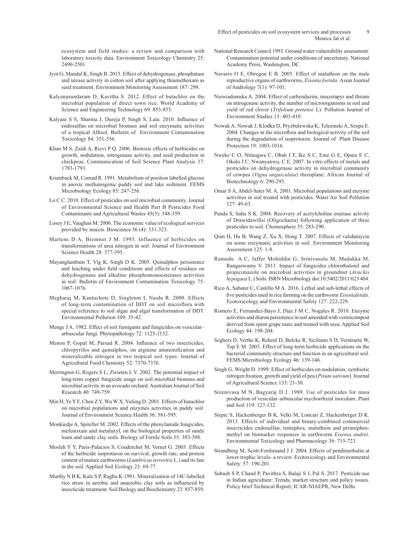ecosystem and field studies: a review and comparison with laboratory toxicity data. Environment Toxicology Chemistry 25: 2490-2501.

- Jyot G, Mandal K, Singh B. 2015. Effect of dehydrogenase, phosphatase and urease activity in cotton soil after applying thiamethoxam as seed treatment. Environment Monitoring Assessment 187: 298.
- Kalyanasundaram D, Kavitha S. 2012. Effect of butachlor on the microbial population of direct sown rice. World Academy of Science and Engineering Technology 69: 853-855.
- Kalyani S S, Sharma J, Dureja P, Singh S, Lata. 2010. Influence of endosulfan on microbial biomass and soil enzymatic activities of a tropical Alfisol. Bulletin of Environment Contamination Toxicology 84: 351-356.
- Khan M S, Zaidi A, Rizvi P Q. 2006. Biotoxic effects of herbicides on growth, nodulation, nitrogenase activity, and seed production in chickpeas*.* Communication of Soil Science Plant Analysis 37: 1783-1793.
- Krumback M, Conrad R. 1991. Metabolism of position labelled glucose in anoxic methanogenic paddy soil and lake sediment. FEMS Microbiology Ecology 85: 247-256.
- Lo C C. 2010. Effect of pesticides on soil microbial community. Journal of Environmental Science and Health Part B Pesticides Food Contaminants and Agricultural Wastes 45(5): 348-359.
- Losey J E, Vaughan M. 2006. The economic value of ecological services provided by insects. Bioscience 56 (4): 331-323.
- Martens D A, Bremner J M. 1993. Influence of herbicides on transformations of urea nitrogen in soil. Journal of Environment Science Health 28: 377-395.
- Mayanglambam T, Vig K, Singh D K. 2005. Quinalphos persistence and leaching under field conditions and effects of residues on dehydrogenase and alkaline phosphomonoesterases activities in soil. Bulletin of Environment Contamination Toxicology 75: 1067-1076.
- Megharaj M, Kantachote D, Singleton I, Naidu R. 2000. Effects of long-term contamination of DDT on soil microflora with special reference to soil algae and algal transformation of DDT. Environmental Pollution 109: 35-42.
- Menge J A. 1982. Effect of soil fumigants and fungicides on vesicular– arbuscular fungi. Phytopathology 72: 1125-1132.
- Menon P, Gopal M, Parsad R. 2004. Influence of two insecticides, chlorpyrifos and quinalphos, on arginine ammonification and mineralizable nitrogen in two tropical soil types. Journal of Agricultural Food Chemistry 52: 7370-7376.
- Merrington G, Rogers S L, Zwieten L V. 2002. The potential impact of long-term copper fungicide usage on soil microbial biomass and microbial activity in an avocado orchard. Australian Journal of Soil Research 40: 749-759.
- Min H, Ye Y F, Chen Z Y, Wu W X, Yufeng D. 2001. Effects of butachlor on microbial populations and enzymes activities in paddy soil*.*  Journal of Environment Science Health 36: 581-595.
- Monkiedje A, Spiteller M. 2002. Effects of the phenylamide fungicides, mefenoxam and metalaxyl, on the biological properties of sandy loam and sandy clay soils. Biology of Fertile Soils 35: 393-398.
- Mosleh Y Y, Paris-Palacios S, Couderchet M, Vernet G. 2003. Effects of the herbicide isoproturon on survival, growth rate, and protein content of mature earthworms (*Lumbricus terrestris* L.) and its fate in the soil. Applied Soil Ecology 23: 69-77.
- Murthy N B K, Kale S P, Raghu K.1991. Mineralization of 14C-labelled rice straw in aerobic and anaerobic clay soils as influenced by insecticide treatment. Soil Biology and Biochemistry 23: 857-859.
- National Research Council 1993. Ground water vulnerability assessment: Contamination potential under conditions of uncertainty. National Academy Press, Washington, DC.
- Navarro O E, Obregon E B. 2005. Effect of malathion on the male reproductive organs of earthworms, *Eisenia foetida.* Asian Journal of Andrology 7(1): 97-101.
- Niewiadomska A. 2004. Effect of carbendazim, imazetapyr and thiram on nitrogenase activity, the number of microorganisms in soil and yield of red clover (*Trifolium pretense* L). Pollution Journal of Environment Studies 13: 403-410.
- Nowak A, Nowak J, Klodka D, Pryzbulewska K, Telesinski A, Szopa E. 2004. Changes in the microflora and biological activity of the soil during the degradation of isoproturon. Journal of Plant Disease Protection 19: 1003-1016.
- Nweke C O, Ntinugwa C, Obah I F, Ike S C, Eme G E, Opara E C, Okolo J C, Nwanyanwu, C E. 2007. In vitro effects of metals and pesticides on dehydrogenase activity in microbial community of cowpea (*Vigna unguiculata*) rhizoplane. African Journal of Biotechnology 6: 290-295.
- Omar S A, Abdel-Sater M. A. 2001. Microbial populations and enzyme activities in soil treated with pesticides. Water Air Soil Pollution 127: 49-63.
- Panda S, Sahu S K. 2004. Recovery of acetylcholine esterase activity of Drawidawillsi (Oligochaeta) following application of three pesticides to soil. Chemosphere 55: 283-290.
- Qian H, Hu B, Wang Z, Xu X, Hong T. 2007. Effects of validamycin on some enzymatic activities in soil. Environment Monitoring Assessment 125: 1-8.
- Ramudu A C, Jaffer Mohiddin G, Srinivasulu M, Madakka M, Rangaswamy V. 2011. Impact of fungicides chlorothalonil and propiconazole on microbial activities in groundnut (*Arachis hypogaea* L.) Soils. ISRN Microbiology doi:10.5402/2011/623 404.
- Rico A, Sabater C, Castillo M A. 2016. Lethal and sub-lethal effects of five pesticides used in rice farming on the earthworm *Eiseniafetida*. Ecotoxicology and Environmental Safety 127: 222-229.
- Romero E, Fernandez-Bayo J, Diaz J M C, Nogales R. 2010. Enzyme activities and diuron persistence in soil amended with vermicompost derived from spent grape marc and treated with urea. Applied Soil Ecology 44: 198-204.
- Seghers D, Verthe K, Reheul D, Bulcke R, Siciliano S D, Verstraete W, Top E M. 2003. Effect of long-term herbicide applications on the bacterial community structure and function in an agricultural soil. FEMS Microbiology Ecology 46: 139-146.
- Singh G, Wright D. 1999. Effect of herbicides on nodulation, symbiotic nitrogen fixation, growth and yield of pea (*Pisum sativum*). Journal of Agricultural Science 133: 21-30.
- Sreenivasa M N, Bagyaraj D J. 1989. Use of pesticides for mass production of vesicular–arbuscular mychorrhizal inoculum. Plant and Soil 119: 127-132.
- Stepic S, Hackenberger B K, Velki M, Loncari Z, Hackenberger D K. 2013. Effects of individual and binary-combined commercial insecticides endosulfan, temephos, malathion and pirimiphosmethyl on biomarker responses in earthworm *Eisenia andrei*. Environmental Toxicology and Pharmacology 36: 715-723.
- Strandberg M, Scott-Fordsmand J J. 2004. Effects of pendimethalin at lower trophic levels- a review. Ecotoxicology and Environmental Safety. 57: 190-201.
- Subash S P, Chand P, Pavithra S, Balaji S J, Pal S. 2017. Pesticide use in Indian agriculture: Trends, market structure and policy issues. Policy brief Technical Report, ICAR-NIAEPR, New Delhi.